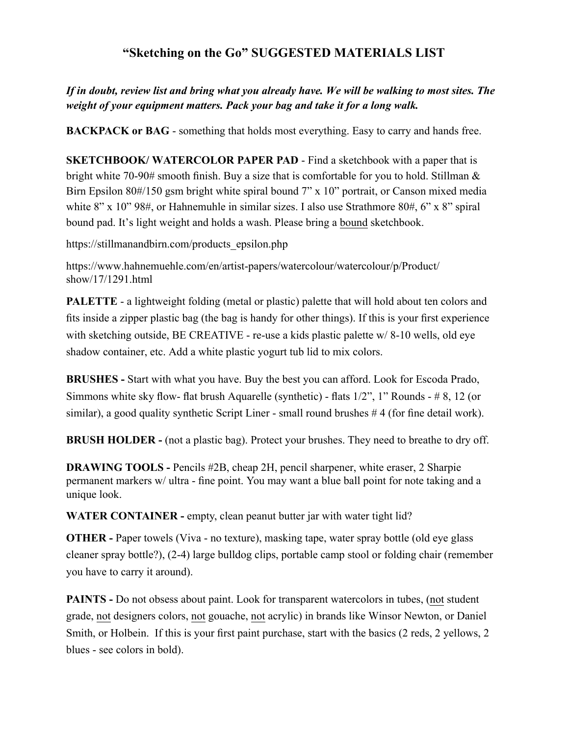## **"Sketching on the Go" SUGGESTED MATERIALS LIST**

## *If in doubt, review list and bring what you already have. We will be walking to most sites. The weight of your equipment matters. Pack your bag and take it for a long walk.*

**BACKPACK or BAG** - something that holds most everything. Easy to carry and hands free.

**SKETCHBOOK/ WATERCOLOR PAPER PAD - Find a sketchbook with a paper that is** bright white 70-90# smooth finish. Buy a size that is comfortable for you to hold. Stillman & Birn Epsilon 80#/150 gsm bright white spiral bound 7" x 10" portrait, or Canson mixed media white 8" x 10" 98#, or Hahnemuhle in similar sizes. I also use Strathmore 80#, 6" x 8" spiral bound pad. It's light weight and holds a wash. Please bring a bound sketchbook.

https://stillmanandbirn.com/products\_epsilon.php

https://www.hahnemuehle.com/en/artist-papers/watercolour/watercolour/p/Product/ show/17/1291.html

**PALETTE** - a lightweight folding (metal or plastic) palette that will hold about ten colors and fits inside a zipper plastic bag (the bag is handy for other things). If this is your first experience with sketching outside, BE CREATIVE - re-use a kids plastic palette w/8-10 wells, old eye shadow container, etc. Add a white plastic yogurt tub lid to mix colors.

**BRUSHES -** Start with what you have. Buy the best you can afford. Look for Escoda Prado, Simmons white sky flow- flat brush Aquarelle (synthetic) - flats 1/2", 1" Rounds - # 8, 12 (or similar), a good quality synthetic Script Liner - small round brushes # 4 (for fine detail work).

**BRUSH HOLDER -** (not a plastic bag). Protect your brushes. They need to breathe to dry off.

**DRAWING TOOLS -** Pencils #2B, cheap 2H, pencil sharpener, white eraser, 2 Sharpie permanent markers w/ ultra - fine point. You may want a blue ball point for note taking and a unique look.

**WATER CONTAINER -** empty, clean peanut butter jar with water tight lid?

**OTHER** - Paper towels (Viva - no texture), masking tape, water spray bottle (old eye glass cleaner spray bottle?), (2-4) large bulldog clips, portable camp stool or folding chair (remember you have to carry it around).

**PAINTS** - Do not obsess about paint. Look for transparent watercolors in tubes, (not student grade, not designers colors, not gouache, not acrylic) in brands like Winsor Newton, or Daniel Smith, or Holbein. If this is your first paint purchase, start with the basics (2 reds, 2 yellows, 2 blues - see colors in bold).